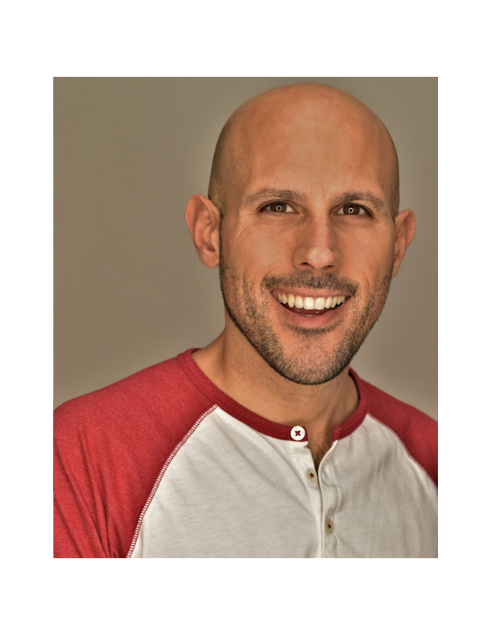